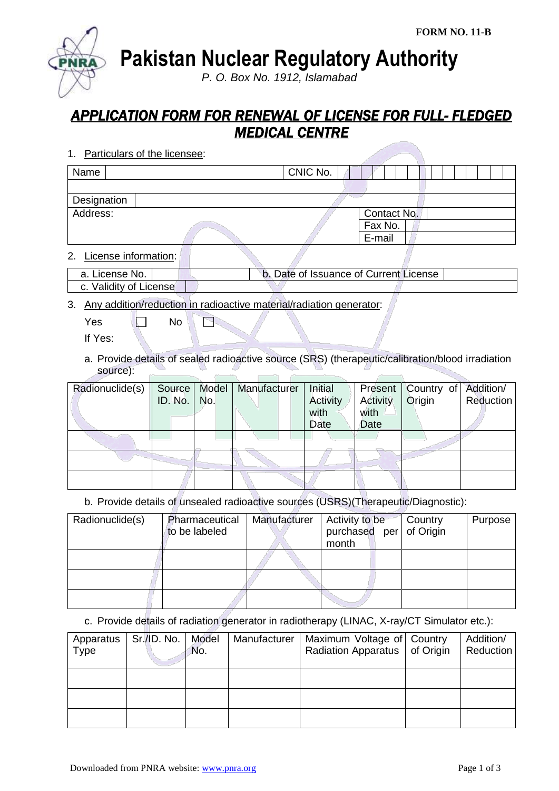**Pakistan Nuclear Regulatory Authority**

*P. O. Box No. 1912, Islamabad*

## *APPLICATION FORM FOR RENEWAL OF LICENSE FOR FULL- FLEDGED MEDICAL CENTRE*

1. Particulars of the licensee:

| Name        | CNIC No. |             |  |  |
|-------------|----------|-------------|--|--|
|             |          |             |  |  |
| Designation |          |             |  |  |
| Address:    |          | Contact No. |  |  |
|             |          | Fax No.     |  |  |
|             |          | E-mail      |  |  |
|             |          |             |  |  |

2. License information:

| _a. License No. I      | b. Date of Issuance of Current License |  |
|------------------------|----------------------------------------|--|
| c. Validity of License |                                        |  |

3. Any addition/reduction in radioactive material/radiation generator:

 $Yes \t N$ P

If Yes:

a. Provide details of sealed radioactive source (SRS) (therapeutic/calibration/blood irradiation source):

| Radionuclide(s) | Source  |     | Model   Manufacturer | Initial  |          | Present   Country of | Addition/ |
|-----------------|---------|-----|----------------------|----------|----------|----------------------|-----------|
|                 | ID. No. | No. |                      | Activity | Activity | Origin               | Reduction |
|                 |         |     |                      | with     | with     |                      |           |
|                 |         |     |                      | Date     | Date     |                      |           |
|                 |         |     |                      |          |          |                      |           |
|                 |         |     |                      |          |          |                      |           |
|                 |         |     |                      |          |          |                      |           |
|                 |         |     |                      |          |          |                      |           |
|                 |         |     |                      |          |          |                      |           |
|                 |         |     |                      |          |          |                      |           |

b. Provide details of unsealed radioactive sources (USRS)(Therapeutic/Diagnostic):

| Radionuclide(s) | Pharmaceutical<br>to be labeled | Manufacturer | Activity to be<br>purchased per<br>month | Country<br>of Origin | Purpose |
|-----------------|---------------------------------|--------------|------------------------------------------|----------------------|---------|
|                 |                                 |              |                                          |                      |         |
|                 |                                 |              |                                          |                      |         |
|                 |                                 |              |                                          |                      |         |

c. Provide details of radiation generator in radiotherapy (LINAC, X-ray/CT Simulator etc.):

| Apparatus<br>Type | Sr./ID. No. | Model<br>No. | Manufacturer | Maximum Voltage of Country<br>Radiation Apparatus   of Origin | Addition/<br>Reduction |
|-------------------|-------------|--------------|--------------|---------------------------------------------------------------|------------------------|
|                   |             |              |              |                                                               |                        |
|                   |             |              |              |                                                               |                        |
|                   |             |              |              |                                                               |                        |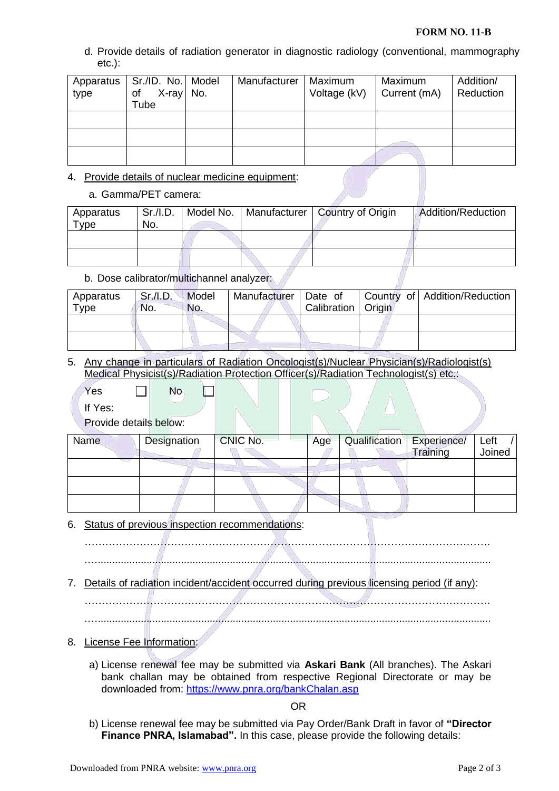## **FORM NO. 11-B**

d. Provide details of radiation generator in diagnostic radiology (conventional, mammography etc.):

| Apparatus<br>type | Sr./ID. No.   Model<br>X-ray No.<br>of<br>Tube | Manufacturer | Maximum<br>Voltage (kV) | Maximum<br>Current (mA) | Addition/<br>Reduction |
|-------------------|------------------------------------------------|--------------|-------------------------|-------------------------|------------------------|
|                   |                                                |              |                         |                         |                        |
|                   |                                                |              |                         |                         |                        |
|                   |                                                |              |                         |                         |                        |

- 4. Provide details of nuclear medicine equipment:
	- a. Gamma/PET camera:

| Apparatus           | Sr.I.D. |  | Model No.   Manufacturer   Country of Origin | Addition/Reduction |
|---------------------|---------|--|----------------------------------------------|--------------------|
| $T$ <sub>V</sub> pe | No.     |  |                                              |                    |
|                     |         |  |                                              |                    |
|                     |         |  |                                              |                    |
|                     |         |  |                                              |                    |
|                     |         |  |                                              |                    |

b. Dose calibrator/multichannel analyzer:

| Apparatus   | Sr./I.D. | Model | Manufacturer   Date of |                      | Country of Addition/Reduction |
|-------------|----------|-------|------------------------|----------------------|-------------------------------|
| <b>Type</b> | No.      | No.   |                        | Calibration   Origin |                               |
|             |          |       |                        |                      |                               |
|             |          |       |                        |                      |                               |
|             |          |       |                        |                      |                               |

5. Any change in particulars of Radiation Oncologist(s)/Nuclear Physician(s)/Radiologist(s) Medical Physicist(s)/Radiation Protection Officer(s)/Radiation Technologist(s) etc.:

If Yes:

Provide details below:

 $Yes \qquad \Box \qquad No$ 

| <b>Name</b> | Designation | CNIC No. | Age | Qualification   Experience/ |          | Left   |
|-------------|-------------|----------|-----|-----------------------------|----------|--------|
|             |             |          |     |                             | Training | Joined |
|             |             |          |     |                             |          |        |
|             |             |          |     |                             |          |        |
|             |             |          |     |                             |          |        |
|             |             |          |     |                             |          |        |
|             |             |          |     |                             |          |        |

6. Status of previous inspection recommendations:

 $\mathbf{L}$ 

……………………………………………………………………………………………………….

.….........................................................................................................................................

7. Details of radiation incident/accident occurred during previous licensing period (if any):

……………………………………………………………………………………………………….

.….........................................................................................................................................

- 8. License Fee Information:
	- a) License renewal fee may be submitted via **Askari Bank** (All branches). The Askari bank challan may be obtained from respective Regional Directorate or may be downloaded from:<https://www.pnra.org/bankChalan.asp>

OR

b) License renewal fee may be submitted via Pay Order/Bank Draft in favor of **"Director Finance PNRA, Islamabad".** In this case, please provide the following details: